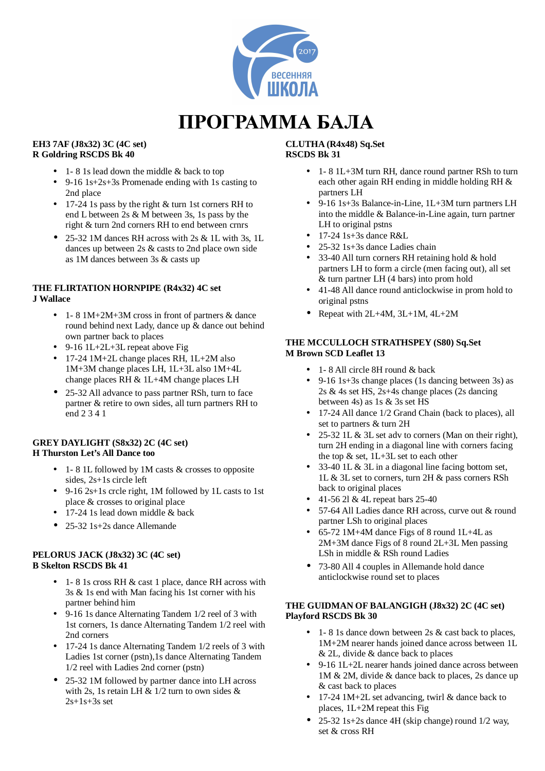

# ПРОГРАММА БАЛА

#### **EH3 7AF (J8x32) 3C (4C set) R Goldring RSCDS Bk 40**

- 1 8 1s lead down the middle & back to top
- 9-16 1s+2s+3s Promenade ending with 1s casting to 2nd place
- 17-24 1s pass by the right & turn 1st corners RH to end L between 2s & M between 3s, 1s pass by the right & turn 2nd corners RH to end between crnrs
- 25-32 1M dances RH across with 2s & 1L with 3s, 1L dances up between 2s & casts to 2nd place own side as 1M dances between 3s & casts up

# **THE FLIRTATION HORNPIPE (R4x32) 4C set J Wallace**

- 1- 8 1M+2M+3M cross in front of partners & dance round behind next Lady, dance up & dance out behind own partner back to places
- 9-16 1L+2L+3L repeat above Fig
- 17-24 1M+2L change places RH, 1L+2M also 1M+3M change places LH, 1L+3L also 1M+4L change places RH & 1L+4M change places LH
- 25-32 All advance to pass partner RSh, turn to face partner & retire to own sides, all turn partners RH to end 2 3 4 1

## **GREY DAYLIGHT (S8x32) 2C (4C set) H Thurston Let's All Dance too**

- 1- 8 1L followed by 1M casts & crosses to opposite sides, 2s+1s circle left
- 9-16 2s+1s crcle right, 1M followed by 1L casts to 1st place & crosses to original place
- 17-24 1s lead down middle & back
- 25-32 1s+2s dance Allemande

## **PELORUS JACK (J8x32) 3C (4C set) B Skelton RSCDS Bk 41**

- 1 8 1s cross RH & cast 1 place, dance RH across with 3s & 1s end with Man facing his 1st corner with his partner behind him
- 9-16 1s dance Alternating Tandem 1/2 reel of 3 with 1st corners, 1s dance Alternating Tandem 1/2 reel with 2nd corners
- 17-24 1s dance Alternating Tandem 1/2 reels of 3 with Ladies 1st corner (pstn),1s dance Alternating Tandem 1/2 reel with Ladies 2nd corner (pstn)
- 25-32 1M followed by partner dance into LH across with 2s, 1s retain LH  $& 1/2$  turn to own sides  $& 1/2$  $2s+1s+3s$  set

#### **CLUTHA (R4x48) Sq.Set RSCDS Bk 31**

- 1- 8 1L+3M turn RH, dance round partner RSh to turn each other again RH ending in middle holding RH & partners LH
- 9-16 1s+3s Balance-in-Line, 1L+3M turn partners LH into the middle & Balance-in-Line again, turn partner LH to original pstns
- $\bullet$  17-24 1s+3s dance R&L
- 25-32 1s+3s dance Ladies chain
- 33-40 All turn corners RH retaining hold & hold partners LH to form a circle (men facing out), all set & turn partner LH (4 bars) into prom hold
- 41-48 All dance round anticlockwise in prom hold to original pstns
- Repeat with 2L+4M, 3L+1M, 4L+2M

## **THE MCCULLOCH STRATHSPEY (S80) Sq.Set M Brown SCD Leaflet 13**

- 1 8 All circle 8H round & back
- 9-16 1s+3s change places (1s dancing between 3s) as 2s & 4s set HS, 2s+4s change places (2s dancing between 4s) as 1s & 3s set HS
- 17-24 All dance 1/2 Grand Chain (back to places), all set to partners & turn 2H
- 25-32 1L & 3L set adv to corners (Man on their right), turn 2H ending in a diagonal line with corners facing the top & set, 1L+3L set to each other
- 33-40 1L & 3L in a diagonal line facing bottom set, 1L & 3L set to corners, turn 2H & pass corners RSh back to original places
- 41-56 2l  $&$  4L repeat bars 25-40
- 57-64 All Ladies dance RH across, curve out & round partner LSh to original places
- 65-72 1M+4M dance Figs of 8 round 1L+4L as 2M+3M dance Figs of 8 round 2L+3L Men passing LSh in middle & RSh round Ladies
- 73-80 All 4 couples in Allemande hold dance anticlockwise round set to places

## **THE GUIDMAN OF BALANGIGH (J8x32) 2C (4C set) Playford RSCDS Bk 30**

- 1 8 1s dance down between 2s & cast back to places, 1M+2M nearer hands joined dance across between 1L & 2L, divide & dance back to places
- 9-16 1L+2L nearer hands joined dance across between 1M & 2M, divide & dance back to places, 2s dance up & cast back to places
- 17-24 1M+2L set advancing, twirl & dance back to places, 1L+2M repeat this Fig
- 25-32 1s+2s dance 4H (skip change) round 1/2 way, set & cross RH